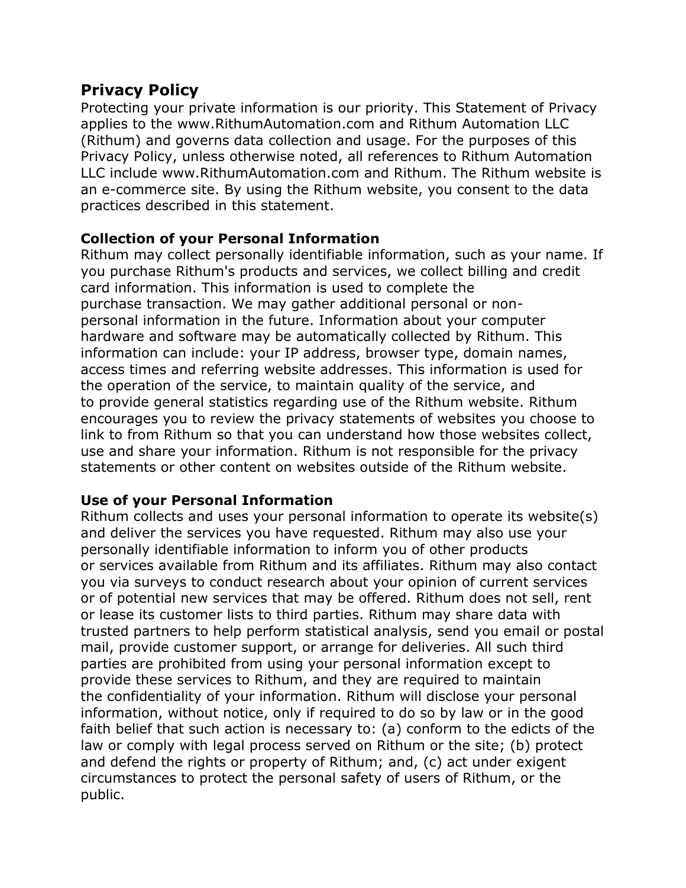# **Privacy Policy**

Protecting your private information is our priority. This Statement of Privacy applies to the www.RithumAutomation.com and Rithum Automation LLC (Rithum) and governs data collection and usage. For the purposes of this Privacy Policy, unless otherwise noted, all references to Rithum Automation LLC include www.RithumAutomation.com and Rithum. The Rithum website is an e-commerce site. By using the Rithum website, you consent to the data practices described in this statement.

## **Collection of your Personal Information**

Rithum may collect personally identifiable information, such as your name. If you purchase Rithum's products and services, we collect billing and credit card information. This information is used to complete the purchase transaction. We may gather additional personal or nonpersonal information in the future. Information about your computer hardware and software may be automatically collected by Rithum. This information can include: your IP address, browser type, domain names, access times and referring website addresses. This information is used for the operation of the service, to maintain quality of the service, and to provide general statistics regarding use of the Rithum website. Rithum encourages you to review the privacy statements of websites you choose to link to from Rithum so that you can understand how those websites collect, use and share your information. Rithum is not responsible for the privacy statements or other content on websites outside of the Rithum website.

#### **Use of your Personal Information**

Rithum collects and uses your personal information to operate its website(s) and deliver the services you have requested. Rithum may also use your personally identifiable information to inform you of other products or services available from Rithum and its affiliates. Rithum may also contact you via surveys to conduct research about your opinion of current services or of potential new services that may be offered. Rithum does not sell, rent or lease its customer lists to third parties. Rithum may share data with trusted partners to help perform statistical analysis, send you email or postal mail, provide customer support, or arrange for deliveries. All such third parties are prohibited from using your personal information except to provide these services to Rithum, and they are required to maintain the confidentiality of your information. Rithum will disclose your personal information, without notice, only if required to do so by law or in the good faith belief that such action is necessary to: (a) conform to the edicts of the law or comply with legal process served on Rithum or the site; (b) protect and defend the rights or property of Rithum; and, (c) act under exigent circumstances to protect the personal safety of users of Rithum, or the public.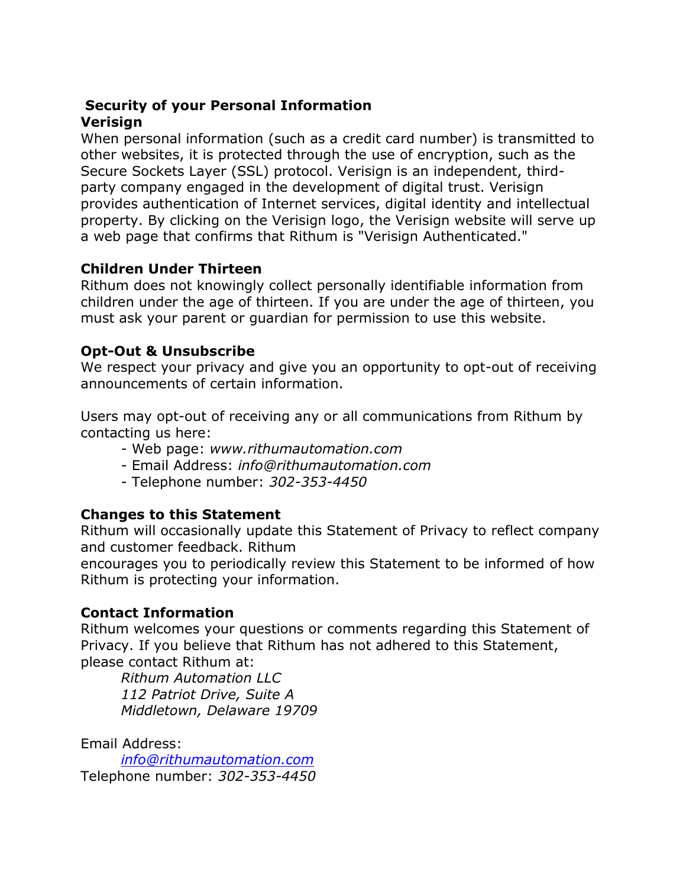#### **Security of your Personal Information Verisign**

When personal information (such as a credit card number) is transmitted to other websites, it is protected through the use of encryption, such as the Secure Sockets Layer (SSL) protocol. Verisign is an independent, thirdparty company engaged in the development of digital trust. Verisign provides authentication of Internet services, digital identity and intellectual property. By clicking on the Verisign logo, the Verisign website will serve up a web page that confirms that Rithum is "Verisign Authenticated."

## **Children Under Thirteen**

Rithum does not knowingly collect personally identifiable information from children under the age of thirteen. If you are under the age of thirteen, you must ask your parent or guardian for permission to use this website.

## **Opt-Out & Unsubscribe**

We respect your privacy and give you an opportunity to opt-out of receiving announcements of certain information.

Users may opt-out of receiving any or all communications from Rithum by contacting us here:

- Web page: *www.rithumautomation.com*
- Email Address: *info@rithumautomation.com*
- Telephone number: *302-353-4450*

## **Changes to this Statement**

Rithum will occasionally update this Statement of Privacy to reflect company and customer feedback. Rithum

encourages you to periodically review this Statement to be informed of how Rithum is protecting your information.

## **Contact Information**

Rithum welcomes your questions or comments regarding this Statement of Privacy. If you believe that Rithum has not adhered to this Statement, please contact Rithum at:

*Rithum Automation LLC 112 Patriot Drive, Suite A Middletown, Delaware 19709*

Email Address:

*[info@rithumautomation.com](mailto:info@rithumautomation.com)* Telephone number: *302-353-4450*